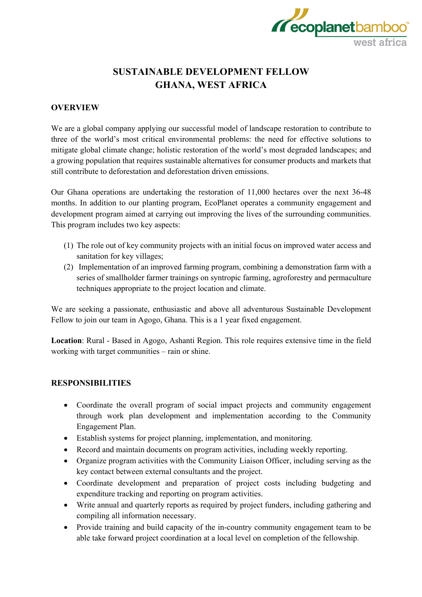

# **SUSTAINABLE DEVELOPMENT FELLOW GHANA, WEST AFRICA**

### **OVERVIEW**

We are a global company applying our successful model of landscape restoration to contribute to three of the world's most critical environmental problems: the need for effective solutions to mitigate global climate change; holistic restoration of the world's most degraded landscapes; and a growing population that requires sustainable alternatives for consumer products and markets that still contribute to deforestation and deforestation driven emissions.

Our Ghana operations are undertaking the restoration of 11,000 hectares over the next 36-48 months. In addition to our planting program, EcoPlanet operates a community engagement and development program aimed at carrying out improving the lives of the surrounding communities. This program includes two key aspects:

- (1) The role out of key community projects with an initial focus on improved water access and sanitation for key villages;
- (2) Implementation of an improved farming program, combining a demonstration farm with a series of smallholder farmer trainings on syntropic farming, agroforestry and permaculture techniques appropriate to the project location and climate.

We are seeking a passionate, enthusiastic and above all adventurous Sustainable Development Fellow to join our team in Agogo, Ghana. This is a 1 year fixed engagement.

**Location**: Rural - Based in Agogo, Ashanti Region. This role requires extensive time in the field working with target communities – rain or shine.

# **RESPONSIBILITIES**

- Coordinate the overall program of social impact projects and community engagement through work plan development and implementation according to the Community Engagement Plan.
- Establish systems for project planning, implementation, and monitoring.
- Record and maintain documents on program activities, including weekly reporting.
- Organize program activities with the Community Liaison Officer, including serving as the key contact between external consultants and the project.
- Coordinate development and preparation of project costs including budgeting and expenditure tracking and reporting on program activities.
- Write annual and quarterly reports as required by project funders, including gathering and compiling all information necessary.
- Provide training and build capacity of the in-country community engagement team to be able take forward project coordination at a local level on completion of the fellowship.